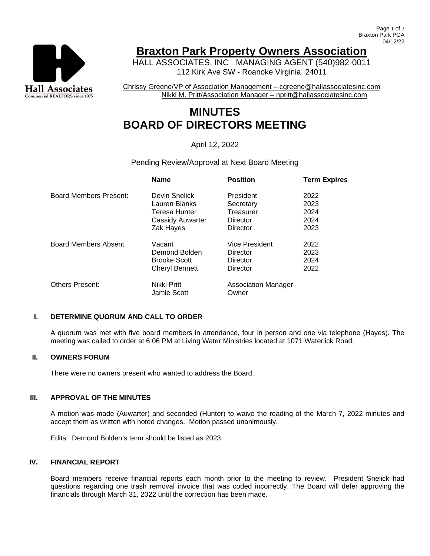

## **Braxton Park Property Owners Association**

HALL ASSOCIATES, INC MANAGING AGENT (540)982-0011 112 Kirk Ave SW - Roanoke Virginia 24011

Chrissy Greene/VP of Association Management – cgreene@hallassociatesinc.com Nikki M. Pritt/Association Manager – npritt@hallassociatesinc.com

# **MINUTES BOARD OF DIRECTORS MEETING**

### April 12, 2022

#### Pending Review/Approval at Next Board Meeting

|                             | <b>Name</b>                | <b>Position</b>                     | <b>Term Expires</b> |
|-----------------------------|----------------------------|-------------------------------------|---------------------|
| Board Members Present:      | Devin Snelick              | President                           | 2022                |
|                             | Lauren Blanks              | Secretary                           | 2023                |
|                             | Teresa Hunter              | Treasurer                           | 2024                |
|                             | <b>Cassidy Auwarter</b>    | Director                            | 2024                |
|                             | Zak Hayes                  | Director                            | 2023                |
| <b>Board Members Absent</b> | Vacant                     | Vice President                      | 2022                |
|                             | Demond Bolden              | Director                            | 2023                |
|                             | <b>Brooke Scott</b>        | Director                            | 2024                |
|                             | <b>Cheryl Bennett</b>      | Director                            | 2022                |
| <b>Others Present:</b>      | Nikki Pritt<br>Jamie Scott | <b>Association Manager</b><br>Owner |                     |

#### **I. DETERMINE QUORUM AND CALL TO ORDER**

A quorum was met with five board members in attendance, four in person and one via telephone (Hayes). The meeting was called to order at 6:06 PM at Living Water Ministries located at 1071 Waterlick Road.

#### **II. OWNERS FORUM**

There were no owners present who wanted to address the Board.

#### **III. APPROVAL OF THE MINUTES**

A motion was made (Auwarter) and seconded (Hunter) to waive the reading of the March 7, 2022 minutes and accept them as written with noted changes. Motion passed unanimously.

Edits: Demond Bolden's term should be listed as 2023.

#### **IV. FINANCIAL REPORT**

Board members receive financial reports each month prior to the meeting to review. President Snelick had questions regarding one trash removal invoice that was coded incorrectly. The Board will defer approving the financials through March 31, 2022 until the correction has been made.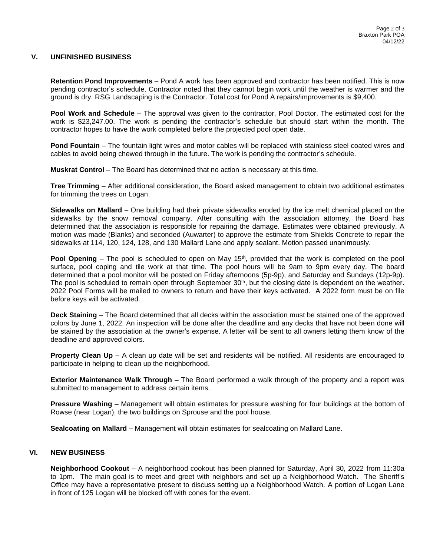#### **V. UNFINISHED BUSINESS**

**Retention Pond Improvements** – Pond A work has been approved and contractor has been notified. This is now pending contractor's schedule. Contractor noted that they cannot begin work until the weather is warmer and the ground is dry. RSG Landscaping is the Contractor. Total cost for Pond A repairs/improvements is \$9,400.

**Pool Work and Schedule** – The approval was given to the contractor, Pool Doctor. The estimated cost for the work is \$23,247.00. The work is pending the contractor's schedule but should start within the month. The contractor hopes to have the work completed before the projected pool open date.

**Pond Fountain** – The fountain light wires and motor cables will be replaced with stainless steel coated wires and cables to avoid being chewed through in the future. The work is pending the contractor's schedule.

**Muskrat Control** – The Board has determined that no action is necessary at this time.

**Tree Trimming** – After additional consideration, the Board asked management to obtain two additional estimates for trimming the trees on Logan.

**Sidewalks on Mallard** – One building had their private sidewalks eroded by the ice melt chemical placed on the sidewalks by the snow removal company. After consulting with the association attorney, the Board has determined that the association is responsible for repairing the damage. Estimates were obtained previously. A motion was made (Blanks) and seconded (Auwarter) to approve the estimate from Shields Concrete to repair the sidewalks at 114, 120, 124, 128, and 130 Mallard Lane and apply sealant. Motion passed unanimously.

**Pool Opening** – The pool is scheduled to open on May 15<sup>th</sup>, provided that the work is completed on the pool surface, pool coping and tile work at that time. The pool hours will be 9am to 9pm every day. The board determined that a pool monitor will be posted on Friday afternoons (5p-9p), and Saturday and Sundays (12p-9p). The pool is scheduled to remain open through September 30<sup>th</sup>, but the closing date is dependent on the weather. 2022 Pool Forms will be mailed to owners to return and have their keys activated. A 2022 form must be on file before keys will be activated.

**Deck Staining** – The Board determined that all decks within the association must be stained one of the approved colors by June 1, 2022. An inspection will be done after the deadline and any decks that have not been done will be stained by the association at the owner's expense. A letter will be sent to all owners letting them know of the deadline and approved colors.

**Property Clean Up** – A clean up date will be set and residents will be notified. All residents are encouraged to participate in helping to clean up the neighborhood.

**Exterior Maintenance Walk Through** – The Board performed a walk through of the property and a report was submitted to management to address certain items.

**Pressure Washing** – Management will obtain estimates for pressure washing for four buildings at the bottom of Rowse (near Logan), the two buildings on Sprouse and the pool house.

**Sealcoating on Mallard** – Management will obtain estimates for sealcoating on Mallard Lane.

#### **VI. NEW BUSINESS**

**Neighborhood Cookout** – A neighborhood cookout has been planned for Saturday, April 30, 2022 from 11:30a to 1pm. The main goal is to meet and greet with neighbors and set up a Neighborhood Watch. The Sheriff's Office may have a representative present to discuss setting up a Neighborhood Watch. A portion of Logan Lane in front of 125 Logan will be blocked off with cones for the event.